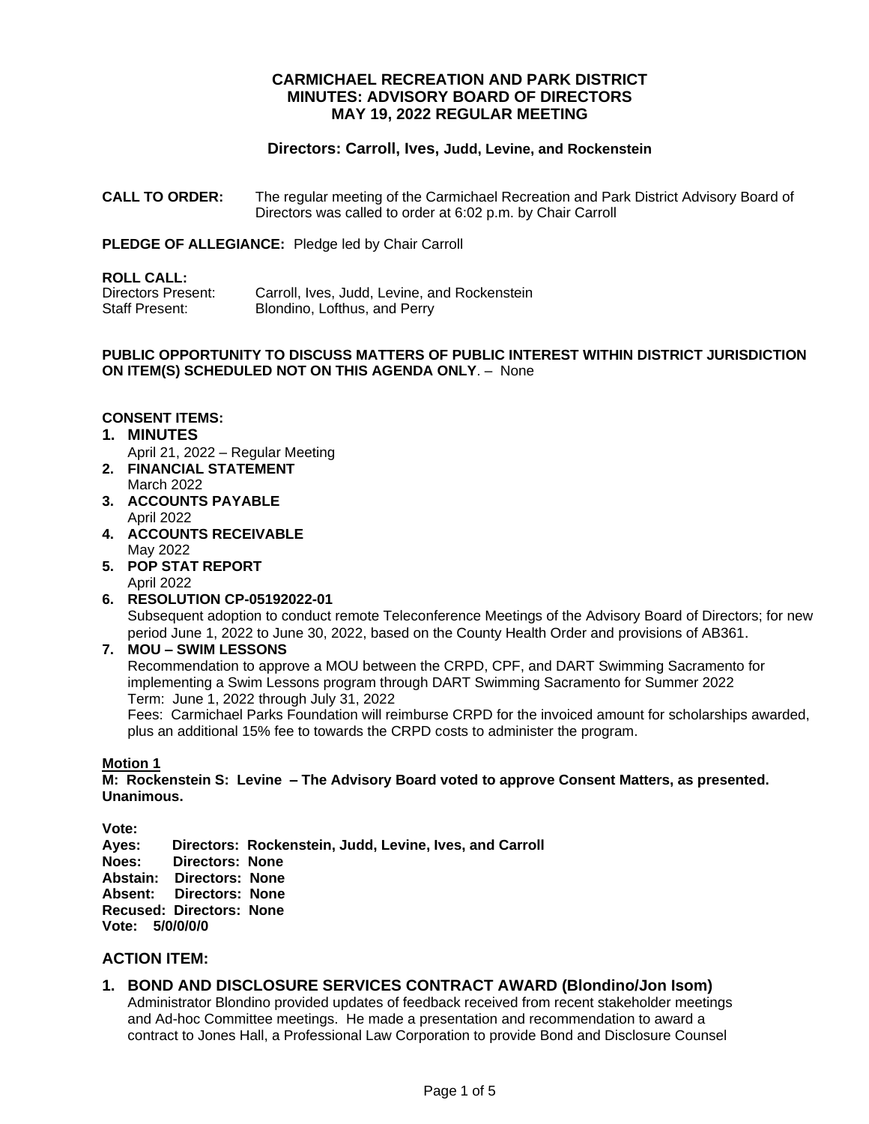# **CARMICHAEL RECREATION AND PARK DISTRICT MINUTES: ADVISORY BOARD OF DIRECTORS MAY 19, 2022 REGULAR MEETING**

# **Directors: Carroll, Ives, Judd, Levine, and Rockenstein**

**CALL TO ORDER:** The regular meeting of the Carmichael Recreation and Park District Advisory Board of Directors was called to order at 6:02 p.m. by Chair Carroll

**PLEDGE OF ALLEGIANCE:** Pledge led by Chair Carroll

### **ROLL CALL:**

| Directors Present: | Carroll, Ives, Judd, Levine, and Rockenstein |
|--------------------|----------------------------------------------|
| Staff Present:     | Blondino, Lofthus, and Perry                 |

### **PUBLIC OPPORTUNITY TO DISCUSS MATTERS OF PUBLIC INTEREST WITHIN DISTRICT JURISDICTION ON ITEM(S) SCHEDULED NOT ON THIS AGENDA ONLY**. – None

# **CONSENT ITEMS:**

- **1. MINUTES**
- April 21, 2022 Regular Meeting **2. FINANCIAL STATEMENT**
- March 2022
- **3. ACCOUNTS PAYABLE**  April 2022
- **4. ACCOUNTS RECEIVABLE** May 2022
- **5. POP STAT REPORT**
	- April 2022
- **6. RESOLUTION CP-05192022-01** Subsequent adoption to conduct remote Teleconference Meetings of the Advisory Board of Directors; for new period June 1, 2022 to June 30, 2022, based on the County Health Order and provisions of AB361.
- **7. MOU – SWIM LESSONS**

Recommendation to approve a MOU between the CRPD, CPF, and DART Swimming Sacramento for implementing a Swim Lessons program through DART Swimming Sacramento for Summer 2022 Term: June 1, 2022 through July 31, 2022

Fees: Carmichael Parks Foundation will reimburse CRPD for the invoiced amount for scholarships awarded, plus an additional 15% fee to towards the CRPD costs to administer the program.

### **Motion 1**

**M: Rockenstein S: Levine – The Advisory Board voted to approve Consent Matters, as presented. Unanimous.**

**Vote:** 

**Ayes: Directors: Rockenstein, Judd, Levine, Ives, and Carroll Noes: Directors: None Abstain: Directors: None Absent: Directors: None Recused: Directors: None Vote: 5/0/0/0/0**

# **ACTION ITEM:**

# **1. BOND AND DISCLOSURE SERVICES CONTRACT AWARD (Blondino/Jon Isom)**

Administrator Blondino provided updates of feedback received from recent stakeholder meetings and Ad-hoc Committee meetings. He made a presentation and recommendation to award a contract to Jones Hall, a Professional Law Corporation to provide Bond and Disclosure Counsel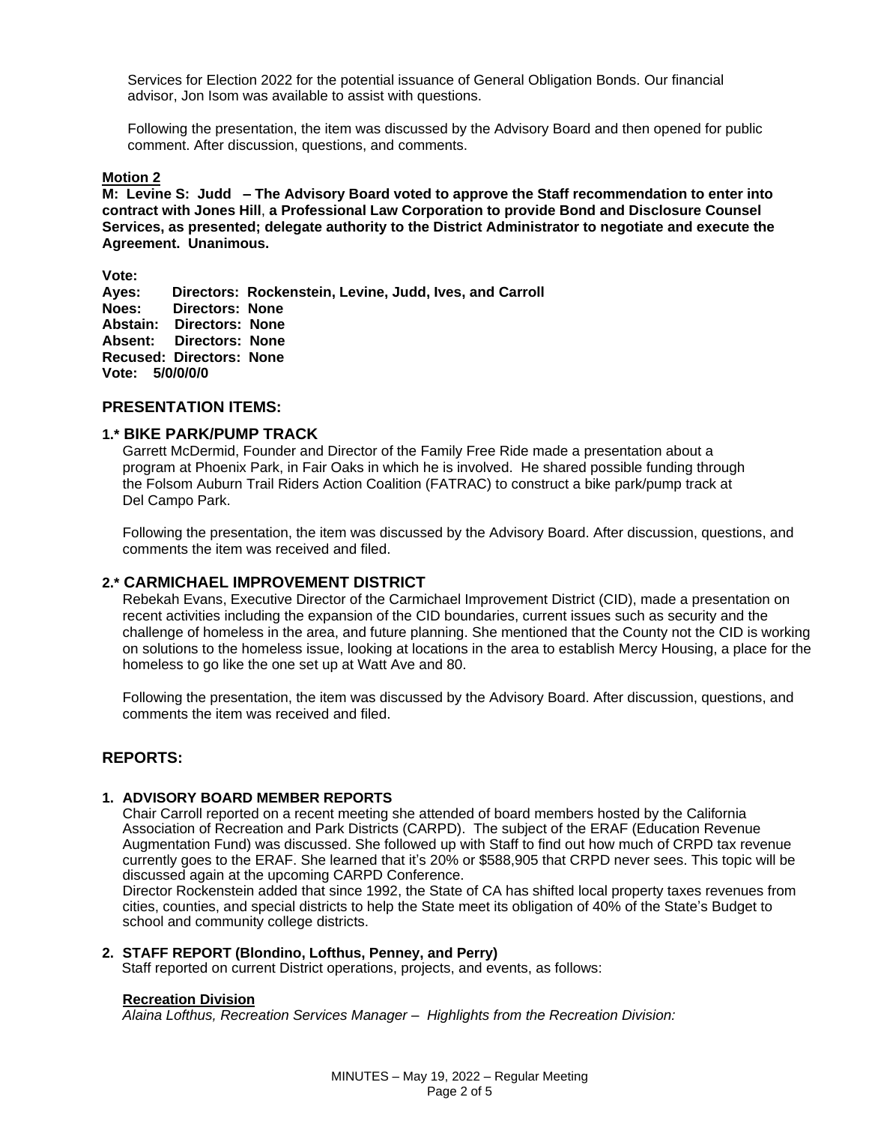Services for Election 2022 for the potential issuance of General Obligation Bonds. Our financial advisor, Jon Isom was available to assist with questions.

Following the presentation, the item was discussed by the Advisory Board and then opened for public comment. After discussion, questions, and comments.

#### **Motion 2**

**M: Levine S: Judd – The Advisory Board voted to approve the Staff recommendation to enter into contract with Jones Hill**, **a Professional Law Corporation to provide Bond and Disclosure Counsel Services, as presented; delegate authority to the District Administrator to negotiate and execute the Agreement. Unanimous.** 

**Vote:** 

**Ayes: Directors: Rockenstein, Levine, Judd, Ives, and Carroll Noes: Directors: None Abstain: Directors: None Absent: Directors: None Recused: Directors: None Vote: 5/0/0/0/0**

# **PRESENTATION ITEMS:**

# **1.\* BIKE PARK/PUMP TRACK**

Garrett McDermid, Founder and Director of the Family Free Ride made a presentation about a program at Phoenix Park, in Fair Oaks in which he is involved. He shared possible funding through the Folsom Auburn Trail Riders Action Coalition (FATRAC) to construct a bike park/pump track at Del Campo Park.

Following the presentation, the item was discussed by the Advisory Board. After discussion, questions, and comments the item was received and filed.

## **2.\* CARMICHAEL IMPROVEMENT DISTRICT**

Rebekah Evans, Executive Director of the Carmichael Improvement District (CID), made a presentation on recent activities including the expansion of the CID boundaries, current issues such as security and the challenge of homeless in the area, and future planning. She mentioned that the County not the CID is working on solutions to the homeless issue, looking at locations in the area to establish Mercy Housing, a place for the homeless to go like the one set up at Watt Ave and 80.

Following the presentation, the item was discussed by the Advisory Board. After discussion, questions, and comments the item was received and filed.

# **REPORTS:**

### **1. ADVISORY BOARD MEMBER REPORTS**

Chair Carroll reported on a recent meeting she attended of board members hosted by the California Association of Recreation and Park Districts (CARPD). The subject of the ERAF (Education Revenue Augmentation Fund) was discussed. She followed up with Staff to find out how much of CRPD tax revenue currently goes to the ERAF. She learned that it's 20% or \$588,905 that CRPD never sees. This topic will be discussed again at the upcoming CARPD Conference.

Director Rockenstein added that since 1992, the State of CA has shifted local property taxes revenues from cities, counties, and special districts to help the State meet its obligation of 40% of the State's Budget to school and community college districts.

### **2. STAFF REPORT (Blondino, Lofthus, Penney, and Perry)**

Staff reported on current District operations, projects, and events, as follows:

#### **Recreation Division**

*Alaina Lofthus, Recreation Services Manager – Highlights from the Recreation Division:*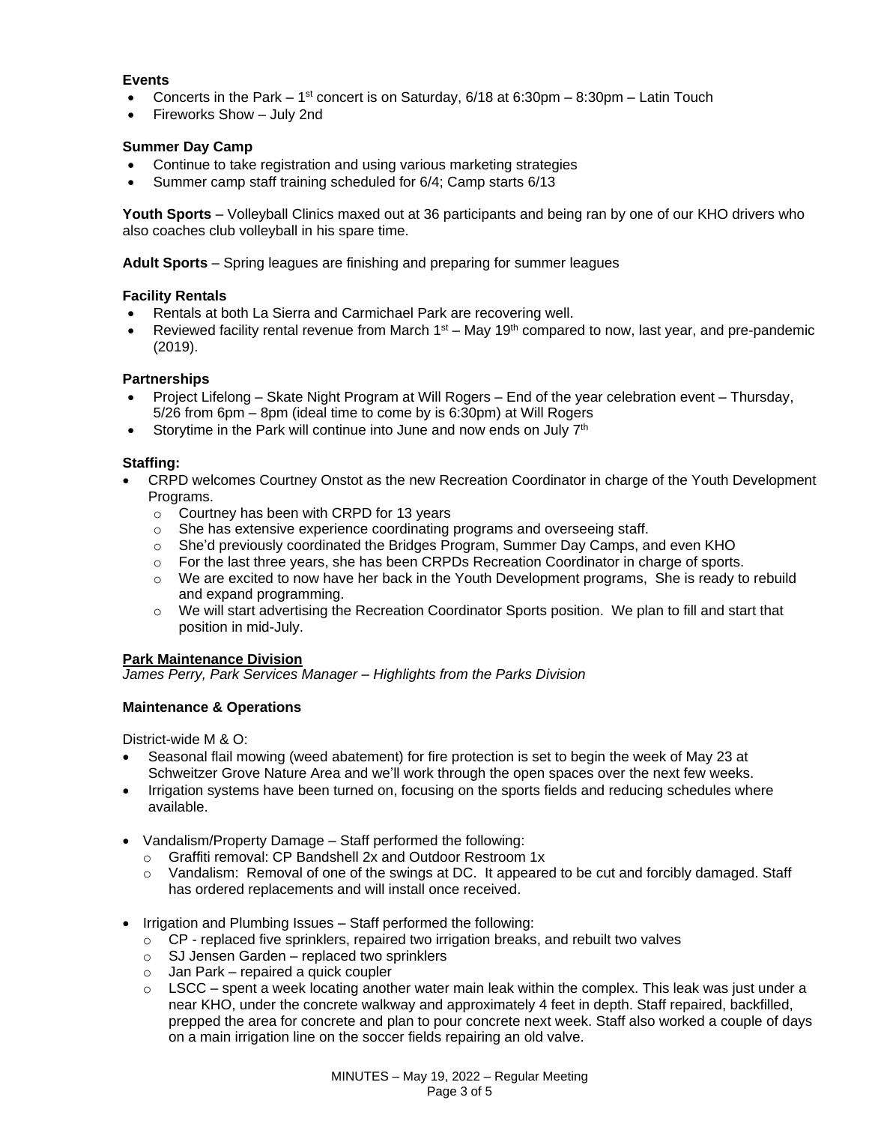# **Events**

- Concerts in the Park  $-1^{st}$  concert is on Saturday, 6/18 at 6:30pm  $-8:30$ pm  $-$  Latin Touch
- Fireworks Show July 2nd

## **Summer Day Camp**

- Continue to take registration and using various marketing strategies
- Summer camp staff training scheduled for 6/4; Camp starts 6/13

**Youth Sports** – Volleyball Clinics maxed out at 36 participants and being ran by one of our KHO drivers who also coaches club volleyball in his spare time.

**Adult Sports** – Spring leagues are finishing and preparing for summer leagues

### **Facility Rentals**

- Rentals at both La Sierra and Carmichael Park are recovering well.
- Reviewed facility rental revenue from March  $1<sup>st</sup> May 19<sup>th</sup> compared to now, last year, and pre-pandemic$ (2019).

### **Partnerships**

- Project Lifelong Skate Night Program at Will Rogers End of the year celebration event Thursday, 5/26 from 6pm – 8pm (ideal time to come by is 6:30pm) at Will Rogers
- Storytime in the Park will continue into June and now ends on July  $7<sup>th</sup>$

# **Staffing:**

- CRPD welcomes Courtney Onstot as the new Recreation Coordinator in charge of the Youth Development Programs.
	- o Courtney has been with CRPD for 13 years
	- $\circ$  She has extensive experience coordinating programs and overseeing staff.
	- o She'd previously coordinated the Bridges Program, Summer Day Camps, and even KHO
	- o For the last three years, she has been CRPDs Recreation Coordinator in charge of sports.
	- o We are excited to now have her back in the Youth Development programs, She is ready to rebuild and expand programming.
	- $\circ$  We will start advertising the Recreation Coordinator Sports position. We plan to fill and start that position in mid-July.

### **Park Maintenance Division**

*James Perry, Park Services Manager – Highlights from the Parks Division* 

# **Maintenance & Operations**

District-wide M & O:

- Seasonal flail mowing (weed abatement) for fire protection is set to begin the week of May 23 at Schweitzer Grove Nature Area and we'll work through the open spaces over the next few weeks.
- Irrigation systems have been turned on, focusing on the sports fields and reducing schedules where available.
- Vandalism/Property Damage Staff performed the following:
	- o Graffiti removal: CP Bandshell 2x and Outdoor Restroom 1x
	- o Vandalism: Removal of one of the swings at DC. It appeared to be cut and forcibly damaged. Staff has ordered replacements and will install once received.
- Irrigation and Plumbing Issues Staff performed the following:
	- $\circ$  CP replaced five sprinklers, repaired two irrigation breaks, and rebuilt two valves
	- $\circ$  SJ Jensen Garden replaced two sprinklers
	- $\circ$  Jan Park repaired a quick coupler
	- $\circ$  LSCC spent a week locating another water main leak within the complex. This leak was just under a near KHO, under the concrete walkway and approximately 4 feet in depth. Staff repaired, backfilled, prepped the area for concrete and plan to pour concrete next week. Staff also worked a couple of days on a main irrigation line on the soccer fields repairing an old valve.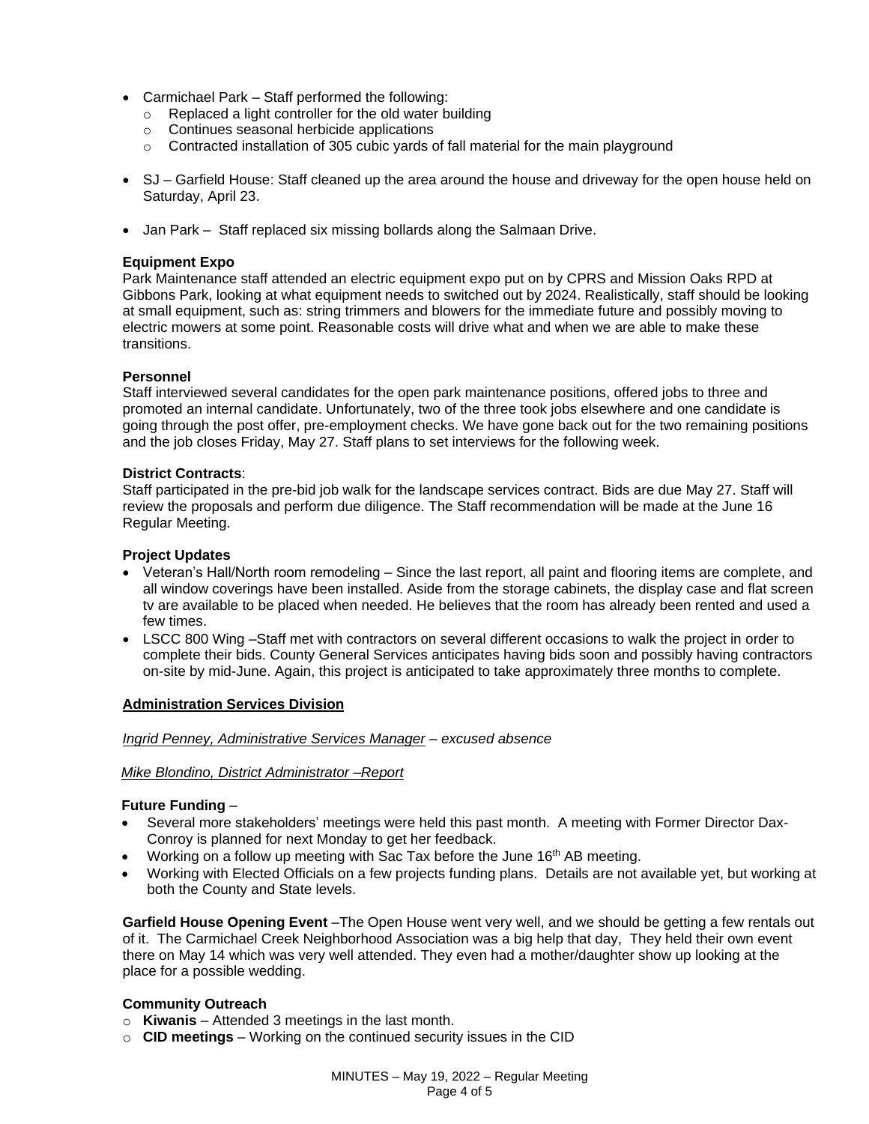- Carmichael Park Staff performed the following:
	- o Replaced a light controller for the old water building
	- o Continues seasonal herbicide applications
	- $\circ$  Contracted installation of 305 cubic yards of fall material for the main playground
- SJ Garfield House: Staff cleaned up the area around the house and driveway for the open house held on Saturday, April 23.
- Jan Park Staff replaced six missing bollards along the Salmaan Drive.

## **Equipment Expo**

Park Maintenance staff attended an electric equipment expo put on by CPRS and Mission Oaks RPD at Gibbons Park, looking at what equipment needs to switched out by 2024. Realistically, staff should be looking at small equipment, such as: string trimmers and blowers for the immediate future and possibly moving to electric mowers at some point. Reasonable costs will drive what and when we are able to make these transitions.

# **Personnel**

Staff interviewed several candidates for the open park maintenance positions, offered jobs to three and promoted an internal candidate. Unfortunately, two of the three took jobs elsewhere and one candidate is going through the post offer, pre-employment checks. We have gone back out for the two remaining positions and the job closes Friday, May 27. Staff plans to set interviews for the following week.

### **District Contracts**:

Staff participated in the pre-bid job walk for the landscape services contract. Bids are due May 27. Staff will review the proposals and perform due diligence. The Staff recommendation will be made at the June 16 Regular Meeting.

### **Project Updates**

- Veteran's Hall/North room remodeling Since the last report, all paint and flooring items are complete, and all window coverings have been installed. Aside from the storage cabinets, the display case and flat screen tv are available to be placed when needed. He believes that the room has already been rented and used a few times.
- LSCC 800 Wing –Staff met with contractors on several different occasions to walk the project in order to complete their bids. County General Services anticipates having bids soon and possibly having contractors on-site by mid-June. Again, this project is anticipated to take approximately three months to complete.

### **Administration Services Division**

### *Ingrid Penney, Administrative Services Manager – excused absence*

### *Mike Blondino, District Administrator –Report*

### **Future Funding** –

- Several more stakeholders' meetings were held this past month. A meeting with Former Director Dax-Conroy is planned for next Monday to get her feedback.
- Working on a follow up meeting with Sac Tax before the June 16<sup>th</sup> AB meeting.
- Working with Elected Officials on a few projects funding plans. Details are not available yet, but working at both the County and State levels.

**Garfield House Opening Event** –The Open House went very well, and we should be getting a few rentals out of it. The Carmichael Creek Neighborhood Association was a big help that day, They held their own event there on May 14 which was very well attended. They even had a mother/daughter show up looking at the place for a possible wedding.

### **Community Outreach**

- o **Kiwanis** Attended 3 meetings in the last month.
- o **CID meetings**  Working on the continued security issues in the CID